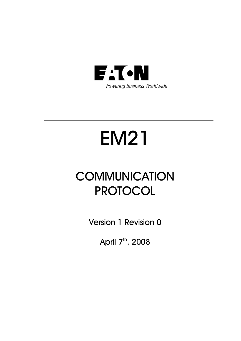

# EM21

# **COMMUNICATION** PROTOCOL

Version 1 Revision 0

April 7<sup>th</sup>, 2008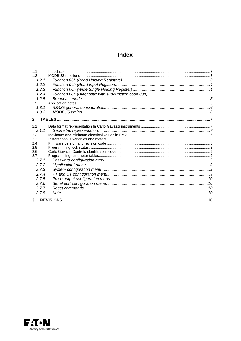### **Index**

| 1.1            |  |
|----------------|--|
| 1.2            |  |
| 1.2.1          |  |
| 1.2.2          |  |
| 1.2.3          |  |
| 1.2.4          |  |
| 1.2.5          |  |
| 1.3            |  |
| 1.3.1          |  |
| 1.3.2          |  |
|                |  |
| $\overline{2}$ |  |
| 2.1            |  |
| 2.1.1          |  |
| 2.2            |  |
| 2.3            |  |
| 2.4            |  |
| 2.5            |  |
| 2.6            |  |
| 2.7            |  |
| 2.7.1          |  |
| 2.7.2          |  |
| 2.7.3          |  |
| 2.7.4          |  |
| 2.7.5          |  |
| 2.76           |  |
| 2.7.7          |  |
| 2.7.8          |  |
| 3              |  |

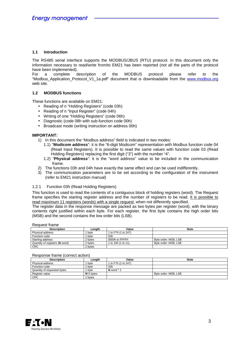#### **1.1 Introduction**

The RS485 serial interface supports the MODBUS/JBUS (RTU) protocol. In this document only the information necessary to read/write from/to EM21 has been reported (not all the parts of the protocol have been implemented).

For a complete description of the MODBUS protocol please refer to the "Modbus Application Protocol V1 1a.pdf" document that is downloadable from the www.modbus.org web site.

#### **1.2 MODBUS functions**

These functions are available on EM21:

- Reading of n "Holding Registers" (code 03h)
- Reading of n "Input Register" (code 04h)
- Writing of one "Holding Registers" (code 06h)
- Diagnostic (code 08h with sub-function code 00h)
- Broadcast mode (writing instruction on address 00h)

#### **IMPORTANT:**

- 1) In this document the "Modbus address" field is indicated in two modes:
	- 1.1) "**Modicom address**": it is the "6-digit Modicom" representation with Modbus function code 04 (Read Input Registers). It is possible to read the same values with function code 03 (Read Holding Registers) replacing the first digit ("3") with the number "4".
	- 1.2) "**Physical address**": it is the "word address" value to be included in the communication frame.
- 2) The functions 03h and 04h have exactly the same effect and can be used indifferently.
- 3) The communication parameters are to be set according to the configuration of the instrument (refer to EM21 instruction manual)

#### 1.2.1 Function 03h (Read Holding Registers)

This function is used to read the contents of a contiguous block of holding registers (word). The Request frame specifies the starting register address and the number of registers to be read. It is possible to read maximum 11 registers (words) with a single request, when not differently specified.

The register data in the response message are packed as two bytes per register (word), with the binary contents right justified within each byte. For each register, the first byte contains the high order bits (MSB) and the second contains the low order bits (LSB).

Request frame

| <b>Description</b>             | Lenath  | Value               | <b>Note</b>          |
|--------------------------------|---------|---------------------|----------------------|
| Physical address               | byte    | 1 to F7h (1 to 247) |                      |
| Function code                  | byte    | 03h                 |                      |
| Starting address               | 2 bytes | 0000h to FFFFh      | Byte order: MSB, LSB |
| Quantity of registers (N word) | 2 bytes | 1 to 10h (1 to 11)  | Byte order: MSB, LSB |
| <b>CRC</b>                     | 2 bvtes |                     |                      |

#### Response frame (correct action)

| <b>Description</b>          | Lenath        | Value               | <b>Note</b>          |
|-----------------------------|---------------|---------------------|----------------------|
| Physical address            | byte          | 1 to F7h (1 to 247) |                      |
| Function code               | byte          | 03h                 |                      |
| Quantity of requested bytes | byte          | N word $*$ 2        |                      |
| Register value              | $N^*$ 2 bytes |                     | Byte order: MSB, LSB |
| <b>CRC</b>                  | 2 bvtes       |                     |                      |

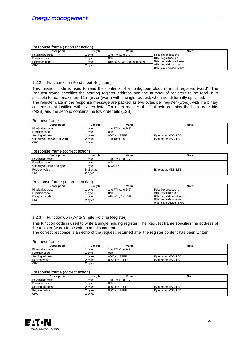#### Response frame (incorrect action)

| Description      | Lenath  | Value                         | <b>Note</b>               |
|------------------|---------|-------------------------------|---------------------------|
| Physical address | byte    | 1 to F7h (1 to 247)           | Possible exception :      |
| Function code    | bvte    | 83h                           | 01h: illegal function     |
| Exception code   | byte    | 01h, 02h, 03h, 04h (see note) | 02h: illegal data address |
| <b>CRC</b>       | 2 bytes |                               | 03h: illegal data value   |
|                  |         |                               | 04h: slave device failure |

#### 1.2.2 Function 04h (Read Input Registers)

This function code is used to read the contents of a contiguous block of input registers (word). The Request frame specifies the starting register address and the number of registers to be read. It is possible to read maximum 11 register (word) with a single request, when not differently specified. The register data in the response message are packed as two bytes per register (word), with the binary contents right justified within each byte. For each register, the first byte contains the high order bits (MSB) and the second contains the low order bits (LSB).

#### Request frame

| <b>Description</b>             | Lenath  | Value               | <b>Note</b>          |
|--------------------------------|---------|---------------------|----------------------|
| Physical address               | bvte    | 1 to F7h (1 to 247) |                      |
| Function code                  | byte    | 04h                 |                      |
| Starting address               | 2 bytes | O000h to FFFFh      | Byte order: MSB, LSB |
| Quantity of registers (N word) | 2 bytes | 1 to 10h (1 to 11)  | Byte order: MSB, LSB |
| <b>CRC</b>                     | 2 bytes |                     |                      |

#### Response frame (correct action)

| <b>Description</b>          | Lenath        | Value               | <b>Note</b>          |
|-----------------------------|---------------|---------------------|----------------------|
| Physical address            | byte          | 1 to F7h (1 to 247) |                      |
| Function code               | byte          | 04h                 |                      |
| Quantity of requested bytes | byte          | N word $*$ 2        |                      |
| Register value              | $N^*$ 2 bytes |                     | Byte order: MSB, LSB |
| <b>CRC</b>                  | 2 bytes       |                     |                      |

#### Response frame (incorrect action)

| <b>Description</b>    | Lenath  | Value                | <b>Note</b>               |  |
|-----------------------|---------|----------------------|---------------------------|--|
| Physical address      | byte    | 1 to F7h (1 to 247)  | Possible exception :      |  |
| Function code         | byte    | 84h                  | 01h: illegal function     |  |
| <b>Exception code</b> | bvte    | l 01h. 02h. 03h. 04h | 02h: illegal data address |  |
| <b>CRC</b>            | 2 bytes |                      | 03h: illegal data value   |  |
|                       |         |                      | 04h: slave device failure |  |

#### 1.2.3 Function 06h (Write Single Holding Register)

This function code is used to write a single holding register. The Request frame specifies the address of the register (word) to be written and its content.

The correct response is an echo of the request, returned after the register content has been written.

#### Request frame

| <b>Description</b> | Lenath  | Value               | <b>Note</b>          |
|--------------------|---------|---------------------|----------------------|
| Physical address   | byte    | 1 to F7h (1 to 247) |                      |
| Function code      | byte    | 06h                 |                      |
| Starting address   | 2 bytes | 0000h to FFFFh      | Byte order: MSB, LSB |
| Register value     | 2 bytes | 0000h to FFFFh      | Byte order: MSB, LSB |
| <b>CRC</b>         | 2 bytes |                     |                      |

#### Response frame (correct action)

| <b>Description</b> | Lenath  | Value               | <b>Note</b>          |
|--------------------|---------|---------------------|----------------------|
| Physical address   | byte    | 1 to F7h (1 to 247) |                      |
| Function code      | byte    | 06h                 |                      |
| Starting address   | 2 bvtes | 0000h to FFFFh      | Byte order: MSB, LSB |
| Register value     | 2 bvtes | 0000h to FFFFh      | Byte order: MSB, LSB |
| <b>CRC</b>         | 2 bvtes |                     |                      |

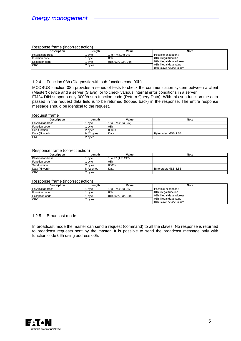#### Response frame (incorrect action)

| Description      | Lenath  | Value               | <b>Note</b>               |
|------------------|---------|---------------------|---------------------------|
| Physical address | byte    | 1 to F7h (1 to 247) | Possible exception :      |
| Function code    | byte    | 86h                 | 01h: illegal function     |
| Exception code   | bvte    | 01h, 02h, 03h, 04h  | 02h: illegal data address |
| <b>CRC</b>       | 2 bytes |                     | 03h: illegal data value   |
|                  |         |                     | 04h: slave device failure |

#### 1.2.4 Function 08h (Diagnostic with sub-function code 00h)

MODBUS function 08h provides a series of tests to check the communication system between a client (Master) device and a server (Slave), or to check various internal error conditions in a server. EM24-DIN supports only 0000h sub-function code (Return Query Data). With this sub-function the data passed in the request data field is to be returned (looped back) in the response. The entire response message should be identical to the request.

#### Request frame

| <b>Description</b> | Lenath        | Value               | <b>Note</b>          |
|--------------------|---------------|---------------------|----------------------|
| Physical address   | byte          | 1 to F7h (1 to 247) |                      |
| Function code      | bvte          | 08h                 |                      |
| Sub-function       | 2 bytes       | 0000h               |                      |
| Data (N word)      | $N^*$ 2 bytes | Data                | Byte order: MSB, LSB |
| <b>CRC</b>         | 2 bytes       |                     |                      |

#### Response frame (correct action)

| <b>Description</b> | Lenath        | Value              | <b>Note</b>          |
|--------------------|---------------|--------------------|----------------------|
| Physical address   | byte          | 1 to F7 (1 to 247) |                      |
| Function code      | bvte          | 08h                |                      |
| Sub-function       | 2 bytes       | 0000h              |                      |
| Data (N word)      | $N^*$ 2 bytes | Data               | Byte order: MSB, LSB |
| <b>CRC</b>         | 2 bytes       |                    |                      |

#### Response frame (incorrect action)

| Description           | Lenath  | Value               | <b>Note</b>               |  |  |  |
|-----------------------|---------|---------------------|---------------------------|--|--|--|
| Physical address      | byte    | 1 to F7h (1 to 247) | Possible exception :      |  |  |  |
| Function code         | byte    | 88h                 | 01h: illegal function     |  |  |  |
| <b>Exception code</b> | bvte    | 01h. 02h. 03h. 04h  | 02h: illegal data address |  |  |  |
| <b>CRC</b>            | 2 bytes |                     | 03h: illegal data value   |  |  |  |
|                       |         |                     | 04h: slave device failure |  |  |  |

#### 1.2.5 Broadcast mode

In broadcast mode the master can send a request (command) to all the slaves. No response is returned to broadcast requests sent by the master. It is possible to send the broadcast message only with function code 06h using address 00h.

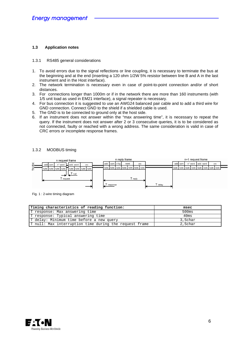#### **1.3 Application notes**

#### 1.3.1 RS485 general considerations

- 1. To avoid errors due to the signal reflections or line coupling, it is necessary to terminate the bus at the beginning and at the end (inserting a 120 ohm 1/2W 5% resistor between line B and A in the last instrument and in the Host interface).
- 2. The network termination is necessary even in case of point-to-point connection and/or of short distances.
- 3. For connections longer than 1000m or if in the network there are more than 160 instruments (with 1/5 unit load as used in EM21 interface), a signal repeater is necessary.
- 4. For bus connection it is suggested to use an AWG24 balanced pair cable and to add a third wire for GND connection. Connect GND to the shield if a shielded cable is used.
- 5. The GND is to be connected to ground only at the host side.
- 6. If an instrument does not answer within the "max answering time", it is necessary to repeat the query. If the instrument does not answer after 2 or 3 consecutive queries, it is to be considered as not connected, faulty or reached with a wrong address. The same consideration is valid in case of CRC errors or incomplete response frames.

#### 1.3.2 MODBUS timing



Fig. 1 : 2-wire timing diagram

| Timing characteristics of reading function:            | msec    |
|--------------------------------------------------------|---------|
| T response: Max answering time                         | 500ms   |
| T response: Typical answering time                     | 40ms    |
| T delay: Minimum time before a new query               | 3,5char |
| T null: Max interruption time during the request frame | 2,5char |

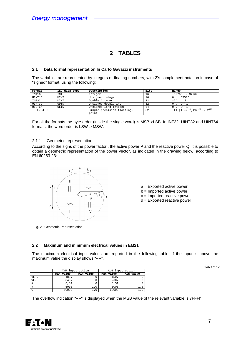# **2 TABLES**

#### **2.1 Data format representation In Carlo Gavazzi instruments**

The variables are represented by integers or floating numbers, with 2's complement notation in case of "signed" format, using the following:

| Format     | IEC data type | Description                         | Bits | Range                                                                        |
|------------|---------------|-------------------------------------|------|------------------------------------------------------------------------------|
| INT16      | INT           | Integer                             | 16   | $-32768$ 32767                                                               |
| UINT16     | <b>UINT</b>   | Unsigned integer                    | 16   | 0.0.65535                                                                    |
| INT32      | <b>DINT</b>   | Double integer                      | 32   | 251<br>$-2^{3}$                                                              |
| UINT32     | <b>UDINT</b>  | Unsigned double int                 | 32   | $2^{32} - 1$                                                                 |
| UINT64     | ULINT         | Unsigned long integer               | 64   | $2^{64} - 1$                                                                 |
| IEEE754 SP |               | Single-precision floating-<br>point | 32   | $-(1+[1 -2^{-23}])\times 2^{127}$ $\overline{\phantom{1}}\phantom{1}2^{128}$ |
|            |               |                                     |      |                                                                              |

For all the formats the byte order (inside the single word) is MSB->LSB. In INT32, UINT32 and UINT64 formats, the word order is LSW-> MSW.

#### 2.1.1 Geometric representation

According to the signs of the power factor , the active power P and the reactive power Q, it is possible to obtain a geometric representation of the power vector, as indicated in the drawing below, according to EN 60253-23:



- a = Exported active power
- b = Imported active power
- c = Imported reactive power
- d = Exported reactive power

Fig. 2 : Geometric Representation

#### **2.2 Maximum and minimum electrical values in EM21**

The maximum electrical input values are reported in the following table. If the input is above the maximum value the display shows "----".

|                 |           | AV5 input option |           | AV6 input option |
|-----------------|-----------|------------------|-----------|------------------|
|                 | Max value | Min value        | Max value | Min value        |
| $VL-N$          | 485V      |                  | 150V      |                  |
| $VI - I$        | 840V      |                  | 260V      |                  |
| Α               | 6.5A      |                  | 6.5A      |                  |
| VT              | 6000      |                  | 6000      |                  |
| CT <sub>1</sub> | 60000     |                  | 60000     |                  |

Table 2.1-1

The overflow indication "----" is displayed when the MSB value of the relevant variable is 7FFFh.

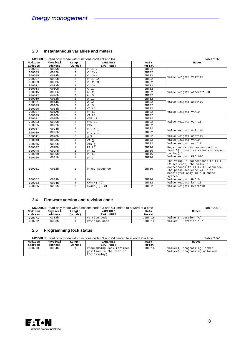#### **2.3 Instantaneous variables and meters**

|                    | <b>MODBUS:</b> read only mode with functions code 03 and 04 |                   | Table 2.3-1                  |                |                                                                                                                                                                              |
|--------------------|-------------------------------------------------------------|-------------------|------------------------------|----------------|------------------------------------------------------------------------------------------------------------------------------------------------------------------------------|
| Modicom<br>address | Physical<br>address                                         | Length<br>(words) | <b>VARIABLE</b><br>ENG. UNIT | Data<br>Format | Notes                                                                                                                                                                        |
| 300001             | 0000h                                                       | $\overline{a}$    | $V L1-N$                     | INT32          |                                                                                                                                                                              |
| 300003             | 0002h                                                       | $\overline{2}$    | $V L2-N$                     | INT32          |                                                                                                                                                                              |
| 300005             | 0004h                                                       | $\overline{2}$    | $V L3-N$                     | INT32          |                                                                                                                                                                              |
| 300007             | 0006h                                                       | $\overline{a}$    | $V L1-L2$                    | INT32          | Value weight: Volt*10                                                                                                                                                        |
| 300009             | 0008h                                                       | $\overline{a}$    | $V L2-L3$                    | INT32          |                                                                                                                                                                              |
| 300011             | 000Ah                                                       | $\overline{a}$    | $V L3-L1$                    | INT32          |                                                                                                                                                                              |
| 300013             | $000$ Ch                                                    | 2                 | A L1                         | INT32          |                                                                                                                                                                              |
| 300015             | 000Eh                                                       | $\overline{2}$    | A L2                         | INT32          | Value weight: Ampere*1000                                                                                                                                                    |
| 300017             | 0010h                                                       | $\overline{a}$    | A L3                         | INT32          |                                                                                                                                                                              |
| 300019             | 0012h                                                       | $\overline{2}$    | W L1                         | INT32          |                                                                                                                                                                              |
| 300021             | 0014h                                                       | $\overline{2}$    | W L2                         | INT32          | Value weight: Watt*10                                                                                                                                                        |
| 300023             | 0016h                                                       | $\overline{2}$    | W L3                         | INT32          |                                                                                                                                                                              |
| 300025             | 0018h                                                       | $\overline{a}$    | VA L1                        | INT32          |                                                                                                                                                                              |
| 300027             | 001Ah                                                       | $\overline{2}$    | VA L2                        | INT32          | Value weight: VA*10                                                                                                                                                          |
| 300029             | 001Ch                                                       | $\overline{2}$    | VA L3                        | INT32          |                                                                                                                                                                              |
| 300031             | 001Eh                                                       | $\overline{2}$    | VAR L1                       | INT32          |                                                                                                                                                                              |
| 300033             | 0020h                                                       | $\overline{a}$    | VAR L2                       | INT32          | Value weight: var*10                                                                                                                                                         |
| 300035             | 0022h                                                       | $\overline{a}$    | VAR L3                       | INT32          |                                                                                                                                                                              |
| 300037             | 0024h                                                       | $\overline{2}$    | V L-N $\Sigma$               | INT32          | Value weight: Volt*10                                                                                                                                                        |
| 300039             | 0026h                                                       | $\overline{2}$    | V L-L $\Sigma$               | INT32          |                                                                                                                                                                              |
| 300041             | 0028h                                                       | $\overline{2}$    | WΣ                           | INT32          | Value weight: Watt*10                                                                                                                                                        |
| 300043             | 002Ah                                                       | $\overline{a}$    | VA Σ                         | INT32          | Value weight: VA*10                                                                                                                                                          |
| 300045             | 002Ch                                                       | $\overline{2}$    | VAR $\Sigma$                 | INT32          | Value weight: var*10                                                                                                                                                         |
| 300047             | 002Eh                                                       | $\mathbf{1}$      | $PF$ $LI$                    | INT16          | Negative values correspond to                                                                                                                                                |
| 300048             | 002Fh                                                       | $\mathbf{1}$      | PF L2                        | INT16          | lead(C), positive value correspond                                                                                                                                           |
| 300049             | 0030h                                                       | $\mathbf{1}$      | PF L3                        | INT16          | to $lag(L)$                                                                                                                                                                  |
| 300050             | 0031h                                                       | 1                 | $PF \Sigma$                  | INT16          | Value weight: PF*1000                                                                                                                                                        |
| 300051             | 0032h                                                       | $\mathbf{1}$      | Phase sequence               | INT16          | The value -1 corresponds to L1-L3-<br>L2 sequence, the value 0<br>corresponds to L1-L2-L3 sequence.<br>The phase sequence value is<br>meaningful only in a 3-phase<br>system |
| 300052             | 0033h                                                       | $\mathbf{1}$      | Hz                           | INT16          | Value weight: Hz*10                                                                                                                                                          |
| 300053             | 0034h                                                       | $\overline{a}$    | $KWh(+)$ TOT                 | INT32          | Value weight: kWh*10                                                                                                                                                         |
| 300055             | 0036h                                                       | $\overline{2}$    | $Kvarh(+)$ TOT               | INT32          | Value weight: kvarh*10                                                                                                                                                       |

#### **2.4 Firmware version and revision code**

| <b>MODBUS:</b> read only mode with functions code 03 and 04 limited to a word at a time |          |         |               |         | Table 2.4-1           |
|-----------------------------------------------------------------------------------------|----------|---------|---------------|---------|-----------------------|
| Modicom                                                                                 | Physical | Lenath  | VARIABLE      | Data    | Notes                 |
| address                                                                                 | address  | (words) | ENG. UNIT     | Format  |                       |
| 300771                                                                                  | 0302h    |         | Version code  | UINT 16 | Value=0: Version "A"  |
| 300772                                                                                  | 0303h    |         | Revision code | UINT 16 | Value=0: Revision "0" |

#### **2.5 Programming lock status**

| <b>MODBUS:</b> read only mode with functions code 03 and 04 limited to a word at a time |          |         |                                                                      |         | Table 2.5-1                                                  |
|-----------------------------------------------------------------------------------------|----------|---------|----------------------------------------------------------------------|---------|--------------------------------------------------------------|
| Modicom                                                                                 | Physical | Length  | VARIABLE                                                             | Data    | Notes                                                        |
| address                                                                                 | address  | (words) | ENG. UNIT                                                            | Format  |                                                              |
| 300773                                                                                  | 0304h    |         | Programming lock (trimmer<br>position in the rear of<br>the display) | UINT 16 | Value=1: programming locked<br>Value=0: programming unlocked |

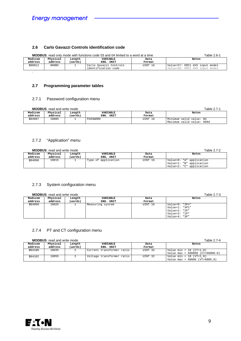#### **2.6 Carlo Gavazzi Controls identification code**

|                                                   | <b>MODBUS:</b> read only mode with functions code 03 and 04 limited to a word at a time | Table 2.6-1 |                        |         |                                |
|---------------------------------------------------|-----------------------------------------------------------------------------------------|-------------|------------------------|---------|--------------------------------|
| Modicom<br>Physical<br>Length<br>VARIABLE<br>Data |                                                                                         |             |                        | Notes   |                                |
| address                                           | address                                                                                 | (words)     | ENG. UNIT              | Format  |                                |
| 300012                                            | 000Bh                                                                                   |             | Carlo Gavazzi Controls | UINT 16 | Value=57: EM21 AV5 input model |
|                                                   |                                                                                         |             | identification code    |         | Value=58: EM21 AV6 input model |
|                                                   |                                                                                         |             |                        |         |                                |

#### **2.7 Programming parameter tables**

#### 2.7.1 Password configuration menu

| <b>MODBUS:</b> read and write mode |                     |                   |                          |                |                                                      |
|------------------------------------|---------------------|-------------------|--------------------------|----------------|------------------------------------------------------|
| Modicom<br>address                 | Physical<br>address | Length<br>(words) | VARIABLE<br>UNIT<br>ENG. | Data<br>Format | Notes                                                |
| 304097                             | 1000h               |                   | PASSWORD                 | UINT 16        | Minimum valid value: Od<br>Maximum valid value: 999d |

#### 2.7.2 "Application" menu

|         | <b>MODBUS:</b> read and write mode |         |                     |         | Table 2.7-2                                          |
|---------|------------------------------------|---------|---------------------|---------|------------------------------------------------------|
| Modicom | Physical                           | Length  | VARIABLE            | Data    | Notes                                                |
| address | address                            | (words) | ENG. UNIT           | Format  |                                                      |
| 304098  | 1001h                              |         | Type of application | UINT 16 | Value=0: "A" application<br>Value=1: "B" application |
|         |                                    |         |                     |         | Value=2: "C" application                             |

#### 2.7.3 System configuration menu

| <b>MODBUS:</b> read and write mode |  |
|------------------------------------|--|
|------------------------------------|--|

|                    | <b>MODBUS:</b> read and write mode |                   |                       |                | Table 2.7-3                                       |
|--------------------|------------------------------------|-------------------|-----------------------|----------------|---------------------------------------------------|
| Modicom<br>address | Physical<br>address                | Length<br>(words) | VARIABLE<br>ENG. UNIT | Data<br>Format | Notes                                             |
| 304099             | 1002h                              |                   | Measuring system      | UINT 16        | Value=0: "3Pn"<br>Value=1: "3P1"<br>Value=2: "2P" |
|                    |                                    |                   |                       |                | Value= $3: "1P"$<br>Value=4: "3P"                 |

#### 2.7.4 PT and CT configuration menu

**MODBUS**: read and write mode Table 2.7-4

| Modicom | Physical | Length  | VARIABLE                  | Data    | Notes                             |
|---------|----------|---------|---------------------------|---------|-----------------------------------|
| address | address  | (words) | ENG. UNIT                 | Format  |                                   |
| 304100  | 1003h    |         | Current transformer ratio | UINT 32 | Value min = 10 (CT=1,0)           |
|         |          |         |                           |         | Value max = $600000$ (CT=60000.0) |
| 304102  | 1005h    |         | Voltage transformer ratio | UINT 32 | Value min = 10 (VT=1.0)           |
|         |          |         |                           |         | Value max = $60000$ (VT=6000.0)   |